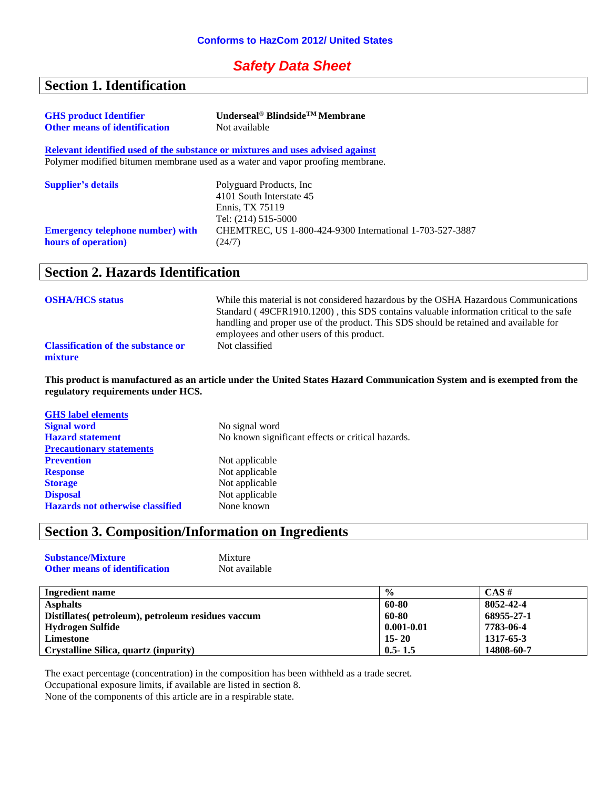#### *Safety Data Sheet*

## **Section 1. Identification**

| <b>GHS</b> product Identifier           | Underseal <sup>®</sup> Blindside <sup>TM</sup> Membrane                        |
|-----------------------------------------|--------------------------------------------------------------------------------|
| <b>Other means of identification</b>    | Not available                                                                  |
|                                         | Relevant identified used of the substance or mixtures and uses advised against |
|                                         | Polymer modified bitumen membrane used as a water and vapor proofing membrane. |
| <b>Supplier's details</b>               | Polyguard Products, Inc.                                                       |
|                                         | 4101 South Interstate 45                                                       |
|                                         | Ennis, TX 75119                                                                |
|                                         | Tel: (214) 515-5000                                                            |
| <b>Emergency telephone number) with</b> | CHEMTREC, US 1-800-424-9300 International 1-703-527-3887                       |
| hours of operation)                     | (24/7)                                                                         |

#### **Section 2. Hazards Identification**

| <b>OSHA/HCS status</b>                               | While this material is not considered hazardous by the OSHA Hazardous Communications<br>Standard (49CFR1910.1200), this SDS contains valuable information critical to the safe<br>handling and proper use of the product. This SDS should be retained and available for<br>employees and other users of this product. |
|------------------------------------------------------|-----------------------------------------------------------------------------------------------------------------------------------------------------------------------------------------------------------------------------------------------------------------------------------------------------------------------|
| <b>Classification of the substance or</b><br>mixture | Not classified                                                                                                                                                                                                                                                                                                        |

**This product is manufactured as an article under the United States Hazard Communication System and is exempted from the regulatory requirements under HCS.**

| <b>GHS</b> label elements               |                                                   |
|-----------------------------------------|---------------------------------------------------|
| <b>Signal word</b>                      | No signal word                                    |
| <b>Hazard statement</b>                 | No known significant effects or critical hazards. |
| <b>Precautionary statements</b>         |                                                   |
| <b>Prevention</b>                       | Not applicable                                    |
| <b>Response</b>                         | Not applicable                                    |
| <b>Storage</b>                          | Not applicable                                    |
| <b>Disposal</b>                         | Not applicable                                    |
| <b>Hazards not otherwise classified</b> | None known                                        |
|                                         |                                                   |

## **Section 3. Composition/Information on Ingredients**

| <b>Substance/Mixture</b>             | Mixture       |
|--------------------------------------|---------------|
| <b>Other means of identification</b> | Not available |

| Ingredient name                                    | $\frac{0}{0}$  | $CAS \#$   |
|----------------------------------------------------|----------------|------------|
| <b>Asphalts</b>                                    | 60-80          | 8052-42-4  |
| Distillates (petroleum), petroleum residues vaccum | 60-80          | 68955-27-1 |
| Hydrogen Sulfide                                   | $0.001 - 0.01$ | 7783-06-4  |
| Limestone                                          | $15 - 20$      | 1317-65-3  |
| Crystalline Silica, quartz (inpurity)              | $0.5 - 1.5$    | 14808-60-7 |

The exact percentage (concentration) in the composition has been withheld as a trade secret.

Occupational exposure limits, if available are listed in section 8.

None of the components of this article are in a respirable state.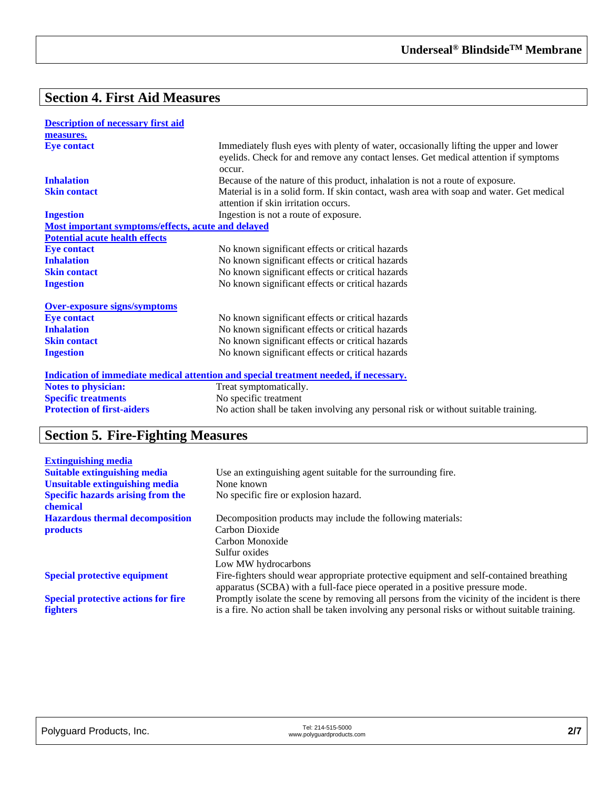# **Section 4. First Aid Measures**

| <b>Description of necessary first aid</b>          |                                                                                                                                                                                        |
|----------------------------------------------------|----------------------------------------------------------------------------------------------------------------------------------------------------------------------------------------|
| measures.                                          |                                                                                                                                                                                        |
| <b>Eye contact</b>                                 | Immediately flush eyes with plenty of water, occasionally lifting the upper and lower<br>eyelids. Check for and remove any contact lenses. Get medical attention if symptoms<br>occur. |
| <b>Inhalation</b>                                  | Because of the nature of this product, inhalation is not a route of exposure.                                                                                                          |
| <b>Skin contact</b>                                | Material is in a solid form. If skin contact, wash area with soap and water. Get medical                                                                                               |
|                                                    | attention if skin irritation occurs.                                                                                                                                                   |
| <b>Ingestion</b>                                   | Ingestion is not a route of exposure.                                                                                                                                                  |
| Most important symptoms/effects, acute and delayed |                                                                                                                                                                                        |
| <b>Potential acute health effects</b>              |                                                                                                                                                                                        |
| <b>Eye contact</b>                                 | No known significant effects or critical hazards                                                                                                                                       |
| <b>Inhalation</b>                                  | No known significant effects or critical hazards                                                                                                                                       |
| <b>Skin contact</b>                                | No known significant effects or critical hazards                                                                                                                                       |
| <b>Ingestion</b>                                   | No known significant effects or critical hazards                                                                                                                                       |
| <b>Over-exposure signs/symptoms</b>                |                                                                                                                                                                                        |
| <b>Eye contact</b>                                 | No known significant effects or critical hazards                                                                                                                                       |
| <b>Inhalation</b>                                  | No known significant effects or critical hazards                                                                                                                                       |
| <b>Skin contact</b>                                | No known significant effects or critical hazards                                                                                                                                       |
| <b>Ingestion</b>                                   | No known significant effects or critical hazards                                                                                                                                       |
|                                                    | Indication of immediate medical attention and special treatment needed, if necessary.                                                                                                  |
| <b>Notes to physician:</b>                         | Treat symptomatically.                                                                                                                                                                 |
| <b>Specific treatments</b>                         | No specific treatment                                                                                                                                                                  |
| <b>Protection of first-aiders</b>                  | No action shall be taken involving any personal risk or without suitable training.                                                                                                     |

# **Section 5. Fire-Fighting Measures**

| <b>Extinguishing media</b>                           |                                                                                                                                                                          |
|------------------------------------------------------|--------------------------------------------------------------------------------------------------------------------------------------------------------------------------|
| <b>Suitable extinguishing media</b>                  | Use an extinguishing agent suitable for the surrounding fire.                                                                                                            |
| <b>Unsuitable extinguishing media</b>                | None known                                                                                                                                                               |
| <b>Specific hazards arising from the</b><br>chemical | No specific fire or explosion hazard.                                                                                                                                    |
| <b>Hazardous thermal decomposition</b>               | Decomposition products may include the following materials:                                                                                                              |
| <b>products</b>                                      | Carbon Dioxide                                                                                                                                                           |
|                                                      | Carbon Monoxide                                                                                                                                                          |
|                                                      | Sulfur oxides                                                                                                                                                            |
|                                                      | Low MW hydrocarbons                                                                                                                                                      |
| <b>Special protective equipment</b>                  | Fire-fighters should wear appropriate protective equipment and self-contained breathing<br>apparatus (SCBA) with a full-face piece operated in a positive pressure mode. |
| <b>Special protective actions for fire</b>           | Promptly isolate the scene by removing all persons from the vicinity of the incident is there                                                                            |
| <b>fighters</b>                                      | is a fire. No action shall be taken involving any personal risks or without suitable training.                                                                           |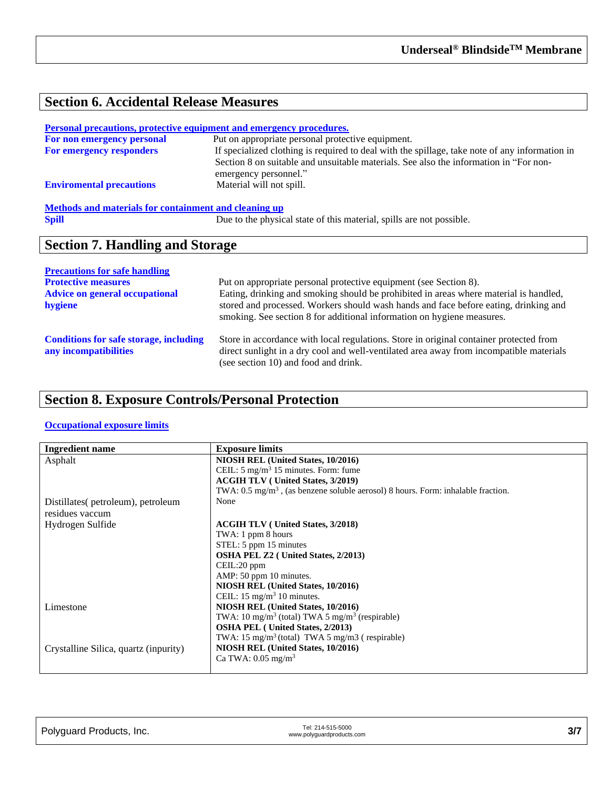# **Section 6. Accidental Release Measures**

|                                                       | <u>Personal precautions, protective equipment and emergency procedures.</u>                                                                                                                                      |
|-------------------------------------------------------|------------------------------------------------------------------------------------------------------------------------------------------------------------------------------------------------------------------|
| For non emergency personal                            | Put on appropriate personal protective equipment.                                                                                                                                                                |
| For emergency responders                              | If specialized clothing is required to deal with the spillage, take note of any information in<br>Section 8 on suitable and unsuitable materials. See also the information in "For non-<br>emergency personnel." |
| <b>Enviromental precautions</b>                       | Material will not spill.                                                                                                                                                                                         |
| Methods and materials for containment and cleaning up |                                                                                                                                                                                                                  |
| <b>Spill</b>                                          | Due to the physical state of this material, spills are not possible.                                                                                                                                             |

## **Section 7. Handling and Storage**

| <b>Precautions for safe handling</b>                                   |                                                                                                                                                                                                                                                         |
|------------------------------------------------------------------------|---------------------------------------------------------------------------------------------------------------------------------------------------------------------------------------------------------------------------------------------------------|
| <b>Protective measures</b>                                             | Put on appropriate personal protective equipment (see Section 8).                                                                                                                                                                                       |
| <b>Advice on general occupational</b><br>hygiene                       | Eating, drinking and smoking should be prohibited in areas where material is handled,<br>stored and processed. Workers should wash hands and face before eating, drinking and<br>smoking. See section 8 for additional information on hygiene measures. |
| <b>Conditions for safe storage, including</b><br>any incompatibilities | Store in accordance with local regulations. Store in original container protected from<br>direct sunlight in a dry cool and well-ventilated area away from incompatible materials<br>(see section 10) and food and drink.                               |

# **Section 8. Exposure Controls/Personal Protection**

#### **Occupational exposure limits**

| <b>Ingredient name</b>                | <b>Exposure limits</b>                                                                      |
|---------------------------------------|---------------------------------------------------------------------------------------------|
| Asphalt                               | NIOSH REL (United States, 10/2016)                                                          |
|                                       | CEIL: $5 \text{ mg/m}^3$ 15 minutes. Form: fume                                             |
|                                       | <b>ACGIH TLV</b> ( United States, 3/2019)                                                   |
|                                       | TWA: $0.5 \text{ mg/m}^3$ , (as benzene soluble aerosol) 8 hours. Form: inhalable fraction. |
| Distillates (petroleum), petroleum    | None                                                                                        |
| residues vaccum                       |                                                                                             |
| Hydrogen Sulfide                      | <b>ACGIH TLV</b> ( United States, 3/2018)                                                   |
|                                       | TWA: 1 ppm 8 hours                                                                          |
|                                       | STEL: 5 ppm 15 minutes                                                                      |
|                                       | <b>OSHA PEL Z2</b> ( United States, 2/2013)                                                 |
|                                       | CEIL:20 ppm                                                                                 |
|                                       | AMP: 50 ppm 10 minutes.                                                                     |
|                                       | NIOSH REL (United States, 10/2016)                                                          |
|                                       | CEIL: $15 \text{ mg/m}^3$ 10 minutes.                                                       |
| Limestone                             | NIOSH REL (United States, 10/2016)                                                          |
|                                       | TWA: $10 \text{ mg/m}^3$ (total) TWA 5 mg/m <sup>3</sup> (respirable)                       |
|                                       | <b>OSHA PEL</b> (United States, 2/2013)                                                     |
|                                       | TWA: $15 \text{ mg/m}^3$ (total) TWA 5 mg/m3 (respirable)                                   |
| Crystalline Silica, quartz (inpurity) | NIOSH REL (United States, 10/2016)                                                          |
|                                       | Ca TWA: $0.05 \text{ mg/m}^3$                                                               |
|                                       |                                                                                             |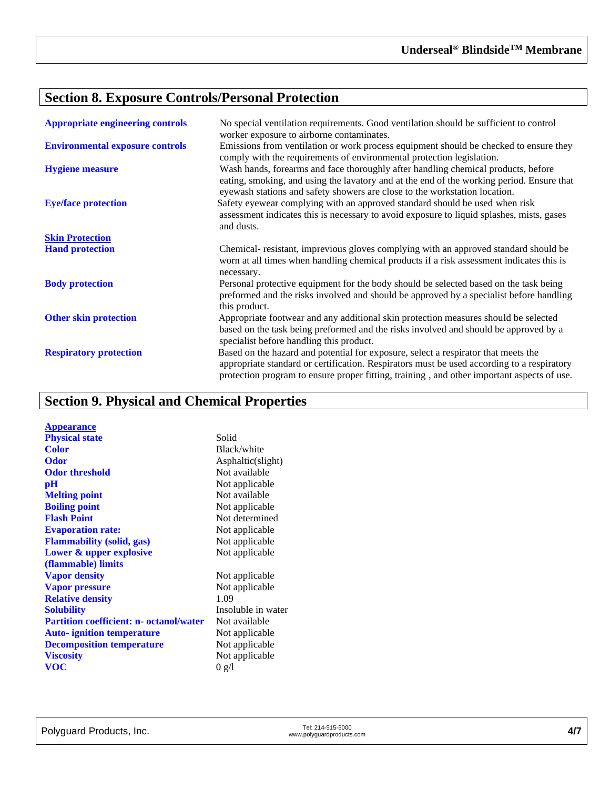# **Section 8. Exposure Controls/Personal Protection**

| <b>Appropriate engineering controls</b> | No special ventilation requirements. Good ventilation should be sufficient to control<br>worker exposure to airborne contaminates.                                                                                                                                             |
|-----------------------------------------|--------------------------------------------------------------------------------------------------------------------------------------------------------------------------------------------------------------------------------------------------------------------------------|
| <b>Environmental exposure controls</b>  | Emissions from ventilation or work process equipment should be checked to ensure they<br>comply with the requirements of environmental protection legislation.                                                                                                                 |
| <b>Hygiene measure</b>                  | Wash hands, forearms and face thoroughly after handling chemical products, before<br>eating, smoking, and using the lavatory and at the end of the working period. Ensure that<br>eyewash stations and safety showers are close to the workstation location.                   |
| <b>Eye/face protection</b>              | Safety eyewear complying with an approved standard should be used when risk<br>assessment indicates this is necessary to avoid exposure to liquid splashes, mists, gases<br>and dusts.                                                                                         |
| <b>Skin Protection</b>                  |                                                                                                                                                                                                                                                                                |
| <b>Hand protection</b>                  | Chemical-resistant, imprevious gloves complying with an approved standard should be<br>worn at all times when handling chemical products if a risk assessment indicates this is<br>necessary.                                                                                  |
| <b>Body protection</b>                  | Personal protective equipment for the body should be selected based on the task being<br>preformed and the risks involved and should be approved by a specialist before handling<br>this product.                                                                              |
| <b>Other skin protection</b>            | Appropriate footwear and any additional skin protection measures should be selected<br>based on the task being preformed and the risks involved and should be approved by a<br>specialist before handling this product.                                                        |
| <b>Respiratory protection</b>           | Based on the hazard and potential for exposure, select a respirator that meets the<br>appropriate standard or certification. Respirators must be used according to a respiratory<br>protection program to ensure proper fitting, training, and other important aspects of use. |

# **Section 9. Physical and Chemical Properties**

| <b>Appearance</b>                              |                    |
|------------------------------------------------|--------------------|
| <b>Physical state</b>                          | Solid              |
| Color                                          | Black/white        |
| <b>Odor</b>                                    | Asphaltic(slight)  |
| <b>Odor threshold</b>                          | Not available      |
| $\mathbf{p}$ H                                 | Not applicable     |
| <b>Melting point</b>                           | Not available      |
| <b>Boiling point</b>                           | Not applicable     |
| <b>Flash Point</b>                             | Not determined     |
| <b>Evaporation rate:</b>                       | Not applicable     |
| <b>Flammability (solid, gas)</b>               | Not applicable     |
| Lower & upper explosive                        | Not applicable     |
| (flammable) limits                             |                    |
| <b>Vapor density</b>                           | Not applicable     |
| <b>Vapor pressure</b>                          | Not applicable     |
| <b>Relative density</b>                        | 1.09               |
| <b>Solubility</b>                              | Insoluble in water |
| <b>Partition coefficient: n- octanol/water</b> | Not available      |
| <b>Auto-</b> ignition temperature              | Not applicable     |
| <b>Decomposition temperature</b>               | Not applicable     |
| <b>Viscosity</b>                               | Not applicable     |
| <b>VOC</b>                                     | 0 g/l              |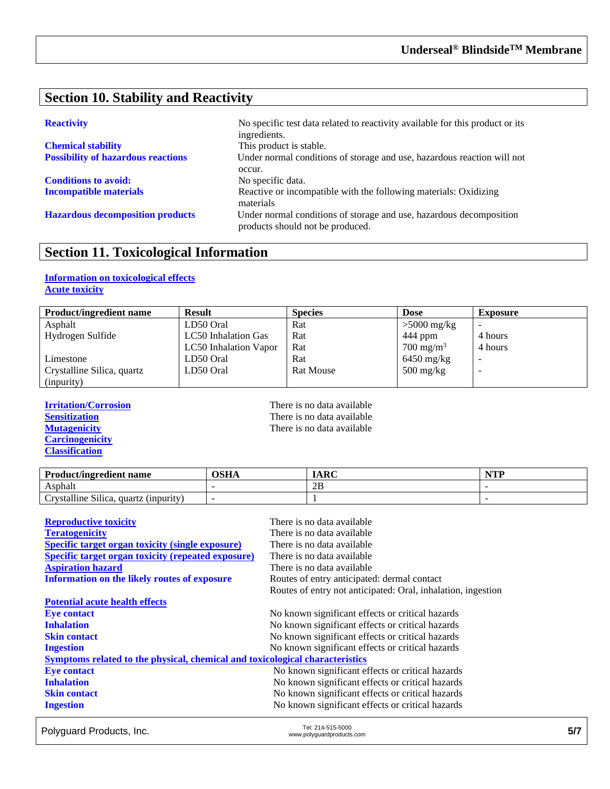### **Section 10. Stability and Reactivity**

| <b>Chemical stability</b>                 |
|-------------------------------------------|
| <b>Possibility of hazardous reactions</b> |

**Conditions to avoid:** No specific data.

**Reactivity** No specific test data related to reactivity available for this product or its ingredients. This product is stable. Under normal conditions of storage and use, hazardous reaction will not occur. **Incompatible materials** Reactive or incompatible with the following materials: Oxidizing materials **Hazardous decomposition products** Under normal conditions of storage and use, hazardous decomposition products should not be produced.

#### **Section 11. Toxicological Information**

#### **Information on toxicological effects Acute toxicity**

| <b>Product/ingredient name</b> | <b>Result</b>         | <b>Species</b>   | <b>Dose</b>                       | <b>Exposure</b> |
|--------------------------------|-----------------------|------------------|-----------------------------------|-----------------|
| Asphalt                        | LD50 Oral             | Rat              | $>5000$ mg/kg                     |                 |
| Hydrogen Sulfide               | LC50 Inhalation Gas   | Rat              | 444 ppm                           | 4 hours         |
|                                | LC50 Inhalation Vapor | Rat              | $700 \text{ mg/m}^3$              | 4 hours         |
| Limestone                      | LD50 Oral             | Rat              | $6450$ mg/kg                      |                 |
| Crystalline Silica, quartz     | LD50 Oral             | <b>Rat Mouse</b> | $500 \frac{\text{mg}}{\text{kg}}$ | -               |
| (inpurity)                     |                       |                  |                                   |                 |

**Carcinogenicity Classification**

**Irritation/Corrosion**<br> **IFREP SERVIER SERVIER SERVIER SERVIER SERVIER SERVIER SERVIER SERVIER SERVIER SERVIER SERVIER SERVIER SERVIER SERVIER SERVIER SERVIER SERVIER SERVIER SERVIER SERVIER SERVIER SERVIER SERVIER SERVIER Sensitization**<br> **Sensitization**<br> **Mutagenicity**<br> **CO**<br> **CO**<br> **CO**<br> **CO**<br> **CO**<br> **CO**<br> **CO**<br> **CO**<br> **CO**<br> **CO**<br> **CO**<br> **CO**<br> **CO**<br> **CO**<br> **CO**<br> **CO**<br> **CO**<br> **CO**<br> **CO**<br> **CO**<br> **CO**<br> **CO**<br> **CO**<br> **CO**<br> **CO**<br> **CO**<br> **CO**<br> **CO**<br> **CO** There is no data available

| <b>Product/ingredient name</b>                                             | OSHA | <b>IARC</b> | $\blacksquare$ |
|----------------------------------------------------------------------------|------|-------------|----------------|
| Asphalt                                                                    |      | 2B          |                |
| $\sim \cdot \cdot \cdot$<br>11.<br>rvstalline Silica.<br>quartz (inpurity) |      |             |                |

| <b>Reproductive toxicity</b>                                                 | There is no data available                                   |
|------------------------------------------------------------------------------|--------------------------------------------------------------|
| <b>Teratogenicity</b>                                                        | There is no data available                                   |
| <b>Specific target organ toxicity (single exposure)</b>                      | There is no data available                                   |
| <b>Specific target organ toxicity (repeated exposure)</b>                    | There is no data available                                   |
| <b>Aspiration hazard</b>                                                     | There is no data available                                   |
| Information on the likely routes of exposure                                 | Routes of entry anticipated: dermal contact                  |
|                                                                              | Routes of entry not anticipated: Oral, inhalation, ingestion |
| <b>Potential acute health effects</b>                                        |                                                              |
| <b>Eye contact</b>                                                           | No known significant effects or critical hazards             |
| <b>Inhalation</b>                                                            | No known significant effects or critical hazards             |
| <b>Skin contact</b>                                                          | No known significant effects or critical hazards             |
| <b>Ingestion</b>                                                             | No known significant effects or critical hazards             |
| Symptoms related to the physical, chemical and toxicological characteristics |                                                              |
| <b>Eye contact</b>                                                           | No known significant effects or critical hazards             |
| <b>Inhalation</b>                                                            | No known significant effects or critical hazards             |
| <b>Skin contact</b>                                                          | No known significant effects or critical hazards             |
| <b>Ingestion</b>                                                             | No known significant effects or critical hazards             |

Polyguard Products, Inc. Tel: 214-515-5000 Tel: 214-515-5000<br>www.polyguardproducts.com **5/7**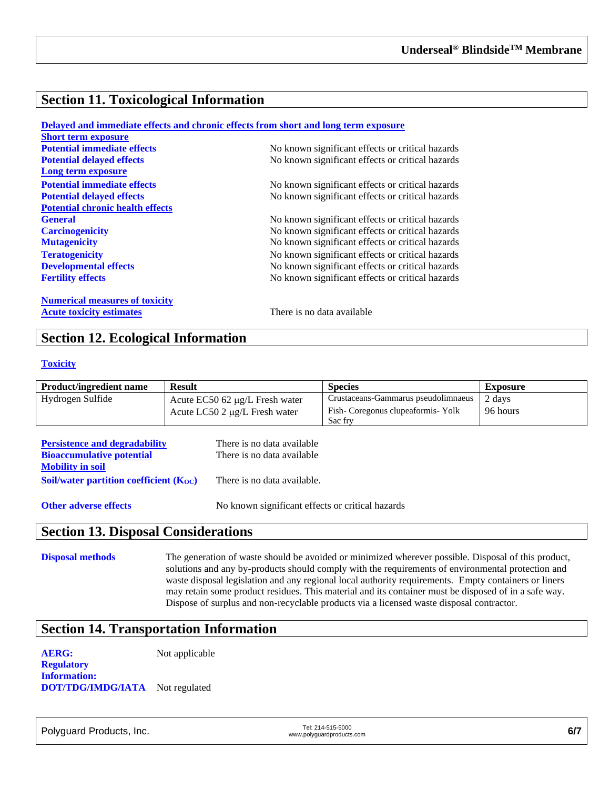#### **Section 11. Toxicological Information**

|                                         | Delayed and immediate effects and chronic effects from short and long term exposure |
|-----------------------------------------|-------------------------------------------------------------------------------------|
| <b>Short term exposure</b>              |                                                                                     |
| <b>Potential immediate effects</b>      | No known significant effects or critical hazards                                    |
| <b>Potential delayed effects</b>        | No known significant effects or critical hazards                                    |
| Long term exposure                      |                                                                                     |
| <b>Potential immediate effects</b>      | No known significant effects or critical hazards                                    |
| <b>Potential delayed effects</b>        | No known significant effects or critical hazards                                    |
| <b>Potential chronic health effects</b> |                                                                                     |
| <b>General</b>                          | No known significant effects or critical hazards                                    |
| <b>Carcinogenicity</b>                  | No known significant effects or critical hazards                                    |
| <b>Mutagenicity</b>                     | No known significant effects or critical hazards                                    |
| <b>Teratogenicity</b>                   | No known significant effects or critical hazards                                    |
| <b>Developmental effects</b>            | No known significant effects or critical hazards                                    |
| <b>Fertility effects</b>                | No known significant effects or critical hazards                                    |
| <b>Numerical measures of toxicity</b>   |                                                                                     |
| <b>Acute toxicity estimates</b>         | There is no data available                                                          |

#### **Section 12. Ecological Information**

#### **Toxicity**

| <b>Product/ingredient name</b> | <b>Result</b>                       | <b>Species</b>                      | <b>Exposure</b> |
|--------------------------------|-------------------------------------|-------------------------------------|-----------------|
| Hydrogen Sulfide               | Acute EC50 62 $\mu$ g/L Fresh water | Crustaceans-Gammarus pseudolimnaeus | 2 days          |
|                                | Acute LC50 2 $\mu$ g/L Fresh water  | Fish-Coregonus clupeaformis-Yolk    | 96 hours        |
|                                |                                     | Sac fry                             |                 |

| <b>Persistence and degradability</b>        | There is no data available  |
|---------------------------------------------|-----------------------------|
| <b>Bioaccumulative potential</b>            | There is no data available  |
| <b>Mobility in soil</b>                     |                             |
| Soil/water partition coefficient $(K_{OC})$ | There is no data available. |
|                                             |                             |

**Other adverse effects** No known significant effects or critical hazards

#### **Section 13. Disposal Considerations**

**Disposal methods** The generation of waste should be avoided or minimized wherever possible. Disposal of this product, solutions and any by-products should comply with the requirements of environmental protection and waste disposal legislation and any regional local authority requirements. Empty containers or liners may retain some product residues. This material and its container must be disposed of in a safe way. Dispose of surplus and non-recyclable products via a licensed waste disposal contractor.

#### **Section 14. Transportation Information**

**AERG:** Not applicable

**Regulatory Information: DOT/TDG/IMDG/IATA** Not regulated

Polyguard Products, Inc. Tel: 214-515-5000